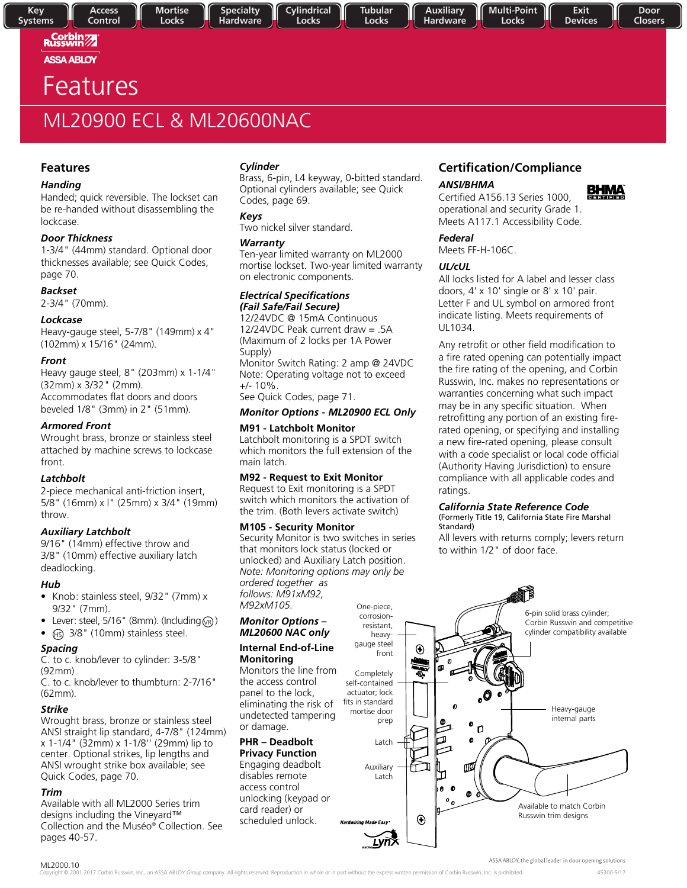## Russwin<sup>77</sup> **ASSA ABLOY**

**Key** 

**Systems** 

# Features

# ML20900 ECL & ML20600NAC

## **Features**

## *Handing*

Handed; quick reversible. The lockset can be re-handed without disassembling the lockcase.

## *Door Thickness*

1-3/4" (44mm) standard. Optional door thicknesses available; see Quick Codes, page 70.

## *Backset*

2-3/4" (70mm).

## *Lockcase*

Heavy-gauge steel, 5-7/8" (149mm) x 4" (102mm) x 15/16" (24mm).

## *Front*

Heavy gauge steel, 8" (203mm) x 1-1/4" (32mm) x 3/32" (2mm). Accommodates flat doors and doors beveled 1/8" (3mm) in 2" (51mm).

## *Armored Front*

Wrought brass, bronze or stainless steel attached by machine screws to lockcase front.

## *Latchbolt*

2-piece mechanical anti-friction insert, 5/8" (16mm) x l" (25mm) x 3/4" (19mm) throw.

## *Auxiliary Latchbolt*

9/16" (14mm) effective throw and 3/8" (10mm) effective auxiliary latch deadlocking.

## *Hub*

- Knob: stainless steel, 9/32" (7mm) x 9/32" (7mm).
- Lever: steel, 5/16" (8mm). (Including  $\circledcirc$ )
- $\bullet$  (Hs) 3/8" (10mm) stainless steel.

## *Spacing*

C. to c. knob/lever to cylinder: 3-5/8" (92mm)

C. to c. knob/lever to thumbturn: 2-7/16" (62mm).

## *Strike*

Wrought brass, bronze or stainless steel ANSI straight lip standard, 4-7/8" (124mm) x 1-1/4" (32mm) x 1-1/8'' (29mm) lip to center. Optional strikes, lip lengths and ANSI wrought strike box available; see Quick Codes, page 70.

## *Trim*

Available with all ML2000 Series trim designs including the Vineyard™ Collection and the Muséo® Collection. See pages 40-57.

## *Cylinder*

Brass, 6-pin, L4 keyway, 0-bitted standard. Optional cylinders available; see Quick Codes, page 69.

## *Keys*

**Specialty** 

Hardware

Two nickel silver standard.

## *Warranty*

Ten-year limited warranty on ML2000 mortise lockset. Two-year limited warranty on electronic components.

### *Electrical Specifications (Fail Safe/Fail Secure)*

12/24VDC @ 15mA Continuous 12/24VDC Peak current draw  $= .5A$ (Maximum of 2 locks per 1A Power Supply) Monitor Switch Rating: 2 amp @ 24VDC Note: Operating voltage not to exceed +/- 10%. See Quick Codes, page 71.

## *Monitor Options - ML20900 ECL Only*

## **M91 - Latchbolt Monitor**

Latchbolt monitoring is a SPDT switch which monitors the full extension of the main latch.

## **M92 - Request to Exit Monitor**

Request to Exit monitoring is a SPDT switch which monitors the activation of the trim. (Both levers activate switch)

## **M105 - Security Monitor**

Security Monitor is two switches in series that monitors lock status (locked or unlocked) and Auxiliary Latch position. *Note: Monitoring options may only be ordered together as follows: M91xM92, M92xM105.*

### *Monitor Options – ML20600 NAC only*

### **Internal End-of-Line Monitoring**

Monitors the line from the access control panel to the lock, eliminating the risk of undetected tampering or damage.

## **PHR – Deadbolt**

**Privacy Function** Engaging deadbolt disables remote access control unlocking (keypad or card reader) or scheduled unlock.

## **Certification/Compliance** *ANSI/BHMA*

Locks



Certified A156.13 Series 1000, operational and security Grade 1. Meets A117.1 Accessibility Code.

## *Federal*

Meets FF-H-106C.

## *UL/cUL*

All locks listed for A label and lesser class doors, 4' x 10' single or 8' x 10' pair. Letter F and UL symbol on armored front indicate listing. Meets requirements of UL1034.

Any retrofit or other field modification to a fire rated opening can potentially impact the fire rating of the opening, and Corbin Russwin, Inc. makes no representations or warranties concerning what such impact may be in any specific situation. When retrofitting any portion of an existing firerated opening, or specifying and installing a new fire-rated opening, please consult with a code specialist or local code official (Authority Having Jurisdiction) to ensure compliance with all applicable codes and ratings.

## *California State Reference Code*

(Formerly Title 19, California State Fire Marshal Standard)

All levers with returns comply; levers return to within 1/2" of door face.



ASSA ABLOY, the global leader in door opening solutions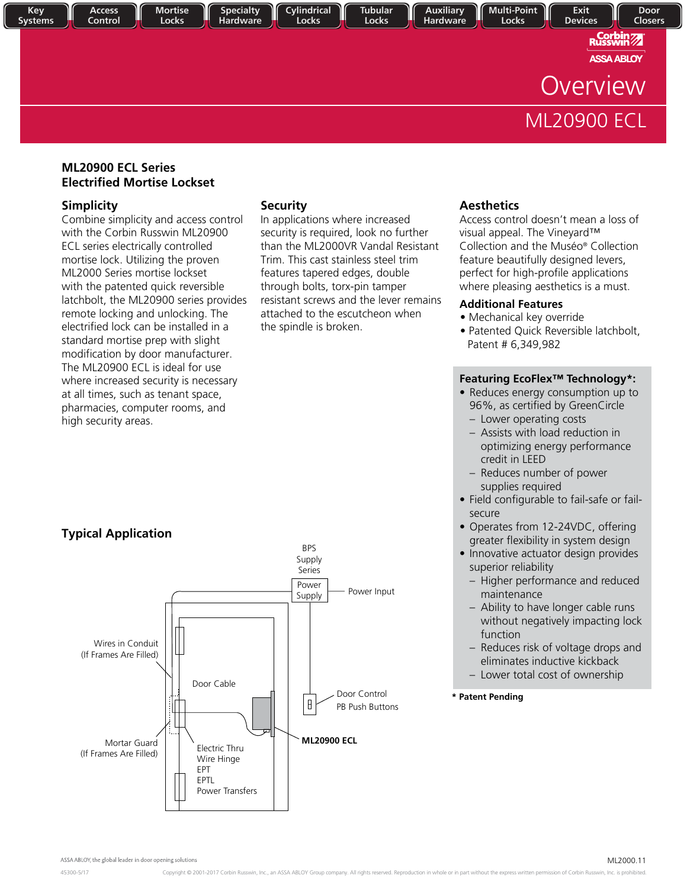

## **ML20900 ECL Series Electrified Mortise Lockset**

## **Simplicity**

Combine simplicity and access control with the Corbin Russwin ML20900 ECL series electrically controlled mortise lock. Utilizing the proven ML2000 Series mortise lockset with the patented quick reversible latchbolt, the ML20900 series provides remote locking and unlocking. The electrified lock can be installed in a standard mortise prep with slight modification by door manufacturer. The ML20900 ECL is ideal for use where increased security is necessary at all times, such as tenant space, pharmacies, computer rooms, and high security areas.

## **Security**

In applications where increased security is required, look no further than the ML2000VR Vandal Resistant Trim. This cast stainless steel trim features tapered edges, double through bolts, torx-pin tamper resistant screws and the lever remains attached to the escutcheon when the spindle is broken.

## **Aesthetics**

Access control doesn't mean a loss of visual appeal. The Vineyard™ Collection and the Muséo® Collection feature beautifully designed levers, perfect for high-profile applications where pleasing aesthetics is a must.

## **Additional Features**

- Mechanical key override
- Patented Quick Reversible latchbolt, Patent # 6,349,982

## **Featuring EcoFlex™ Technology\*:**

- Reduces energy consumption up to 96%, as certified by GreenCircle
	- Lower operating costs
	- Assists with load reduction in optimizing energy performance credit in LEED
	- Reduces number of power supplies required
- Field configurable to fail-safe or failsecure
- Operates from 12-24VDC, offering greater flexibility in system design
- Innovative actuator design provides superior reliability
	- Higher performance and reduced maintenance
	- Ability to have longer cable runs without negatively impacting lock function
	- Reduces risk of voltage drops and eliminates inductive kickback
- Lower total cost of ownership
- **\* Patent Pending**

## **Typical Application**

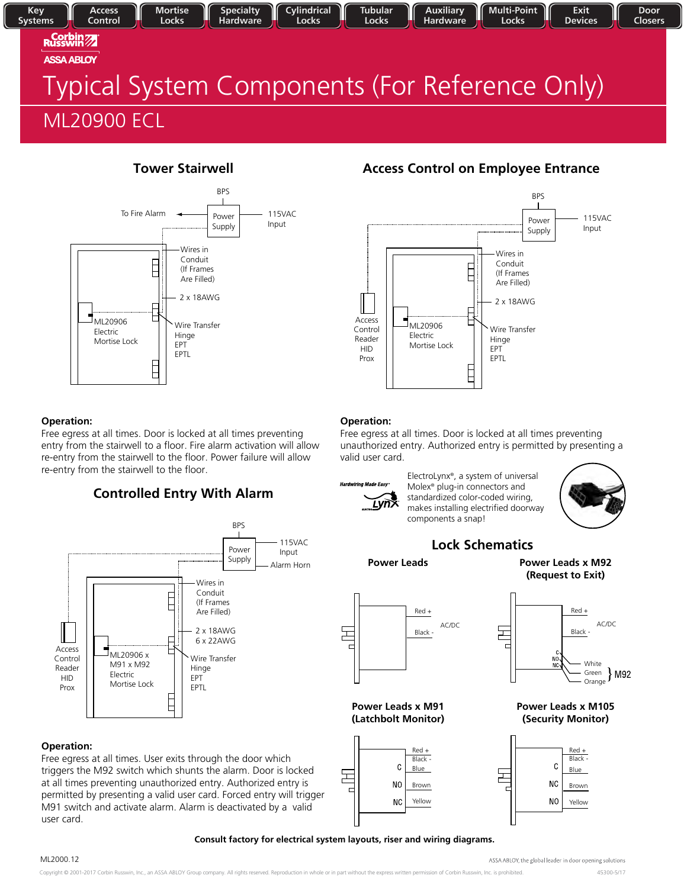### Key **Auxiliary Multi-Point Access Mortise Specialty** Cylindrical **Tubular** Exit Door Control **Systems** Locks Hardware Locks Locks **Hardware** Locks **Devices** Closers **Russwin ASSA ABLOY** Typical System Components (For Reference Only) ML20900 ECL



## **Operation:**

Free egress at all times. Door is locked at all times preventing entry from the stairwell to a floor. Fire alarm activation will allow re-entry from the stairwell to the floor. Power failure will allow re-entry from the stairwell to the floor.

## **Controlled Entry With Alarm**



## **Operation:**

Free egress at all times. User exits through the door which triggers the M92 switch which shunts the alarm. Door is locked at all times preventing unauthorized entry. Authorized entry is permitted by presenting a valid user card. Forced entry will trigger M91 switch and activate alarm. Alarm is deactivated by a valid user card.

## **Tower Stairwell Access Control on Employee Entrance**



## **Operation:**

Free egress at all times. Door is locked at all times preventing unauthorized entry. Authorized entry is permitted by presenting a valid user card.



ElectroLynx®, a system of universal Molex® plug-in connectors and standardized color-coded wiring, makes installing electrified doorway components a snap!



## **Lock Schematics**

돈



Red +

Black -

White

Green Orange

AC/DC

 $\{M92$ 



**Power Leads x M91 (Latchbolt Monitor)**



## **Power Leads x M105 (Security Monitor)**

NO ÑČ



## **Consult factory for electrical system layouts, riser and wiring diagrams.**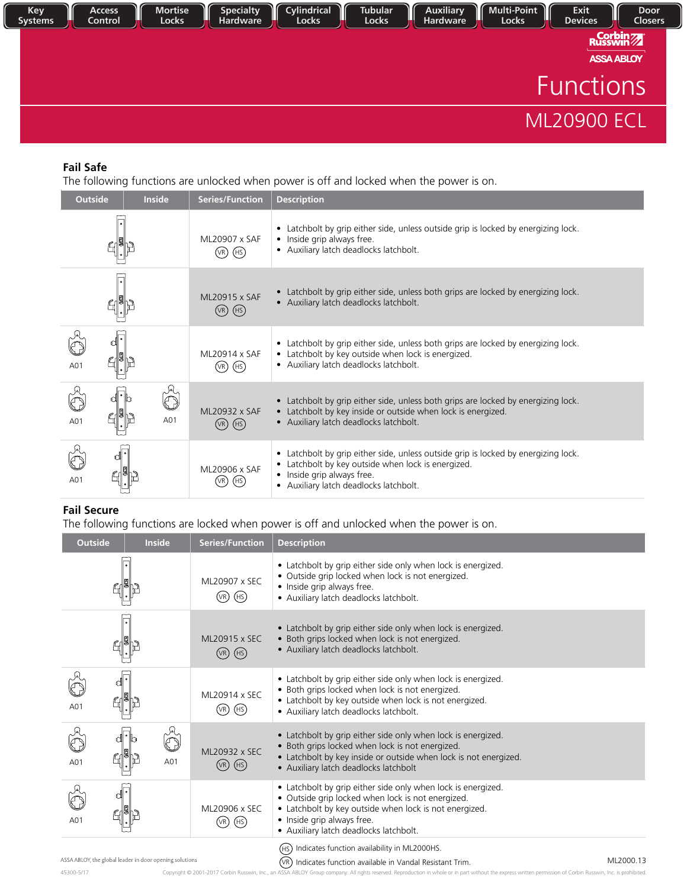

## **Fail Safe**

The following functions are unlocked when power is off and locked when the power is on.

| <b>Outside</b> | Inside | <b>Series/Function</b>                    | <b>Description</b>                                                                                                                                                                                               |
|----------------|--------|-------------------------------------------|------------------------------------------------------------------------------------------------------------------------------------------------------------------------------------------------------------------|
|                |        | ML20907 x SAF<br>$(VR)$ (HS)              | • Latchbolt by grip either side, unless outside grip is locked by energizing lock.<br>• Inside grip always free.<br>• Auxiliary latch deadlocks latchbolt.                                                       |
|                |        | ML20915 x SAF<br>$(\overline{VR})$ $(HS)$ | • Latchbolt by grip either side, unless both grips are locked by energizing lock.<br>• Auxiliary latch deadlocks latchbolt.                                                                                      |
| A01            |        | ML20914 x SAF<br>$(VR)$ $(HS)$            | • Latchbolt by grip either side, unless both grips are locked by energizing lock.<br>• Latchbolt by key outside when lock is energized.<br>• Auxiliary latch deadlocks latchbolt.                                |
| A01            | A01    | ML20932 x SAF<br>$(VR)$ $(HS)$            | • Latchbolt by grip either side, unless both grips are locked by energizing lock.<br>• Latchbolt by key inside or outside when lock is energized.<br>· Auxiliary latch deadlocks latchbolt.                      |
| A01            |        | ML20906 x SAF<br>(HS)<br>(VR)             | • Latchbolt by grip either side, unless outside grip is locked by energizing lock.<br>• Latchbolt by key outside when lock is energized.<br>• Inside grip always free.<br>• Auxiliary latch deadlocks latchbolt. |

## **Fail Secure**

The following functions are locked when power is off and unlocked when the power is on.

| <b>Outside</b> | <b>Inside</b>                                           | <b>Series/Function</b>                    | <b>Description</b>                                                                                                                                                                                                                                  |
|----------------|---------------------------------------------------------|-------------------------------------------|-----------------------------------------------------------------------------------------------------------------------------------------------------------------------------------------------------------------------------------------------------|
|                |                                                         | ML20907 x SEC<br>$(P)$ $(HS)$             | • Latchbolt by grip either side only when lock is energized.<br>· Outside grip locked when lock is not energized.<br>• Inside grip always free.<br>• Auxiliary latch deadlocks latchbolt.                                                           |
|                |                                                         | ML20915 x SEC<br>$(P)$ $(HS)$             | • Latchbolt by grip either side only when lock is energized.<br>· Both grips locked when lock is not energized.<br>· Auxiliary latch deadlocks latchbolt.                                                                                           |
| A01            |                                                         | ML20914 x SEC<br>$(\overline{VR})$ $(HS)$ | • Latchbolt by grip either side only when lock is energized.<br>• Both grips locked when lock is not energized.<br>• Latchbolt by key outside when lock is not energized.<br>· Auxiliary latch deadlocks latchbolt.                                 |
| A01            | A01                                                     | ML20932 x SEC<br>$(P)$ $(HS)$             | • Latchbolt by grip either side only when lock is energized.<br>· Both grips locked when lock is not energized.<br>• Latchbolt by key inside or outside when lock is not energized.<br>• Auxiliary latch deadlocks latchbolt                        |
| A01            |                                                         | ML20906 x SEC<br>$(VR)$ $(HS)$            | • Latchbolt by grip either side only when lock is energized.<br>• Outside grip locked when lock is not energized.<br>• Latchbolt by key outside when lock is not energized.<br>• Inside grip always free.<br>· Auxiliary latch deadlocks latchbolt. |
|                | ASSA ABLOY, the global leader in door opening solutions |                                           | Indicates function availability in ML2000HS.<br>(HS)<br>ML2000.13<br>(VR) Indicates function available in Vandal Resistant Trim                                                                                                                     |

45300-5/17 Copyright © 2001-2017 Corbin Russwin, Inc., an ASSA ABLOY Group company. All rights reserved. Reproduction in whole or in part without the express written permission of Corbin Russwin, Inc. is prohibited. (VR) Indicates function available in Vandal Resistant Trim.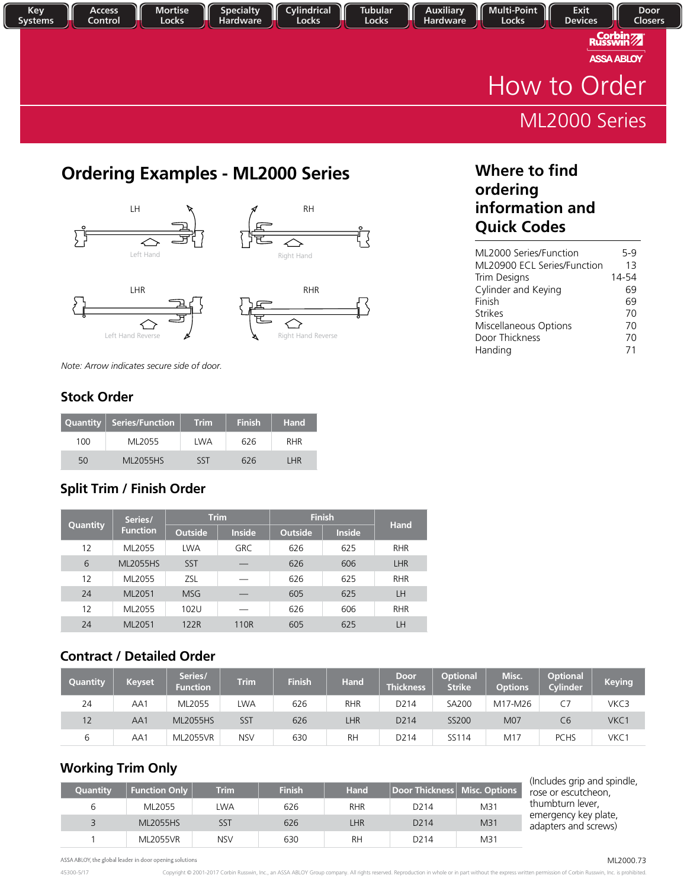

## **Ordering Examples - ML2000 Series The State of Where to find a Video State of State State State State State State State State State State State State State State State State State State State State State State State State**









**ordering information and Quick Codes**

| ML2000 Series/Function      | 5-9   |
|-----------------------------|-------|
| ML20900 ECL Series/Function | 13    |
| Trim Designs                | 14-54 |
| Cylinder and Keying         | 69    |
| Finish                      | 69    |
| <b>Strikes</b>              | 70    |
| Miscellaneous Options       | 70    |
| Door Thickness              | 70    |
| Handing                     | 71    |

*Note: Arrow indicates secure side of door.*

## **Stock Order**

|     | Quantity   Series/Function | <b>Trim</b> | <b>Finish</b> | <b>Hand</b> |
|-----|----------------------------|-------------|---------------|-------------|
| 100 | MI 2055                    | LWA         | 626           | <b>RHR</b>  |
| 50  | <b>ML2055HS</b>            | SST         | 626           | I HR        |

## **Split Trim / Finish Order**

| Quantity | Series/         |                | <b>Trim</b>   | <b>Finish</b>  | <b>Hand</b>   |            |
|----------|-----------------|----------------|---------------|----------------|---------------|------------|
|          | <b>Function</b> | <b>Outside</b> | <b>Inside</b> | <b>Outside</b> | <b>Inside</b> |            |
| 12       | ML2055          | <b>LWA</b>     | <b>GRC</b>    | 626            | 625           | <b>RHR</b> |
| 6        | <b>ML2055HS</b> | <b>SST</b>     |               | 626            | 606           | LHR        |
| 12       | ML2055          | <b>ZSL</b>     |               | 626            | 625           | <b>RHR</b> |
| 24       | ML2051          | <b>MSG</b>     |               | 605            | 625           | LH         |
| 12       | ML2055          | 102U           |               | 626            | 606           | <b>RHR</b> |
| 24       | ML2051          | 122R           | 110R          | 605            | 625           | LН         |

## **Contract / Detailed Order**

| Quantity | <b>Keyset</b> | Series/<br><b>Function</b> | <b>Trim</b> | <b>Finish</b> | <b>Hand</b> | <b>Door</b><br><b>Thickness</b> | <b>Optional</b><br><b>Strike</b> | Misc.<br><b>Options</b> | <b>Optional</b><br><b>Cylinder</b> | <b>Keying</b> |
|----------|---------------|----------------------------|-------------|---------------|-------------|---------------------------------|----------------------------------|-------------------------|------------------------------------|---------------|
| 24       | AA1           | ML2055                     | LWA         | 626           | <b>RHR</b>  | D <sub>2</sub> 14               | <b>SA200</b>                     | M17-M26                 | С7                                 | VKC3          |
| 12       | AA1           | <b>ML2055HS</b>            | SST         | 626           | <b>LHR</b>  | D <sub>2</sub> 14               | <b>SS200</b>                     | M07                     | C <sub>6</sub>                     | VKC1          |
| b        | AA1           | <b>ML2055VR</b>            | <b>NSV</b>  | 630           | <b>RH</b>   | D <sub>2</sub> 14               | SS114                            | M17                     | <b>PCHS</b>                        | VKC1          |

## **Working Trim Only**

| Quantity | <b>Function Only</b> | <b>Trim</b> | <b>Finish</b> | Hand <sup>1</sup> | Door Thickness   Misc. Options |                 |
|----------|----------------------|-------------|---------------|-------------------|--------------------------------|-----------------|
| b        | ML2055               | LWA         | 626           | <b>RHR</b>        | D <sub>2</sub> 14              | M31             |
|          | <b>ML2055HS</b>      | SST         | 626           | LHR               | D <sub>2</sub> 14              | M <sub>31</sub> |
|          | <b>ML2055VR</b>      | <b>NSV</b>  | 630           | <b>RH</b>         | D <sub>2</sub> 14              | M31             |

(Includes grip and spindle, rose or escutcheon, thumbturn lever, emergency key plate, adapters and screws)

ASSA ABLOY, the global leader in door opening solutions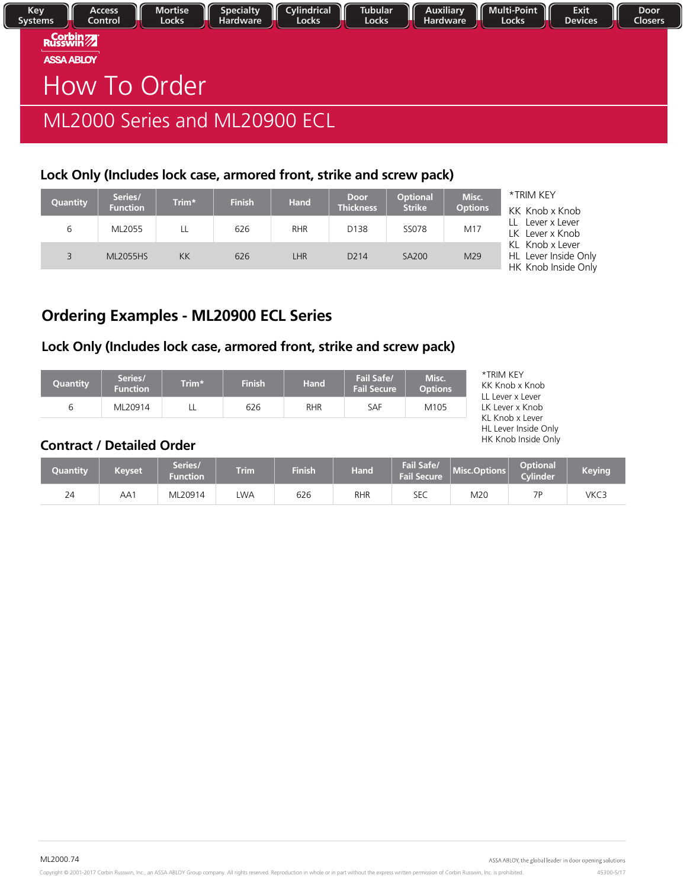| Key<br><b>Systems</b> | <b>Access</b><br>Control              | <b>Mortise</b><br>Locks | <b>Specialty</b><br>Hardware | Cylindrical<br>Locks                                                 | <b>Tubular</b><br>Locks | Auxiliary<br>Hardware | Multi-Point<br>Locks | Exit<br><b>Devices</b> | Door<br><b>Closers</b> |
|-----------------------|---------------------------------------|-------------------------|------------------------------|----------------------------------------------------------------------|-------------------------|-----------------------|----------------------|------------------------|------------------------|
|                       | <b>Corbin 27</b><br><b>ASSA ABLOY</b> |                         |                              |                                                                      |                         |                       |                      |                        |                        |
|                       | How To Order                          |                         |                              |                                                                      |                         |                       |                      |                        |                        |
|                       | ML2000 Series and ML20900 ECL         |                         |                              |                                                                      |                         |                       |                      |                        |                        |
|                       |                                       |                         |                              | Lock Only (Includes lock case, armored front, strike and screw pack) |                         |                       |                      |                        |                        |

| Quantity | Series/<br><b>Function</b> | Trim* | <b>Finish</b> | <b>Hand</b> | <b>Door</b><br><b>Thickness</b> | <b>Optional</b><br><b>Strike</b> | Misc.<br><b>Options</b> | *TRIM KEY<br>KK Knob x Knob                                    |
|----------|----------------------------|-------|---------------|-------------|---------------------------------|----------------------------------|-------------------------|----------------------------------------------------------------|
| 6        | ML2055                     | LL    | 626           | <b>RHR</b>  | D138                            | SS078                            | M17                     | LL Lever x Lever<br>LK Lever x Knob                            |
|          | <b>ML2055HS</b>            | KK    | 626           | <b>LHR</b>  | D <sub>2</sub> 14               | <b>SA200</b>                     | M29                     | KL Knob x Lever<br>HL Lever Inside Only<br>HK Knob Inside Only |

## **Ordering Examples - ML20900 ECL Series**

## **Lock Only (Includes lock case, armored front, strike and screw pack)**

| <b>Quantity</b> | Series/<br><b>Function</b> | Trim* | <b>Finish</b> | <b>Hand</b> | Fail Safe/<br><b>Fail Secure</b> | Misc.<br><b>Options</b> |
|-----------------|----------------------------|-------|---------------|-------------|----------------------------------|-------------------------|
| b               | ML20914                    |       | 626           | <b>RHR</b>  | SAF                              | M105                    |

| *TRIM KEY            |
|----------------------|
| KK Knob x Knob       |
| LL Lever x Lever     |
| LK Lever x Knob      |
| KL Knob x Lever      |
| HL Lever Inside Only |
| HK Knob Inside Only  |

## **Contract / Detailed Order**

| Quantity | Keyset | Series,<br>Function | <b>Trim</b> | Finish | <b>Hand</b> | Fail Safe/<br><b>Fail Secure</b> | Misc.Options | <b>Optional</b><br><b>Cylinder</b> | Keying |
|----------|--------|---------------------|-------------|--------|-------------|----------------------------------|--------------|------------------------------------|--------|
|          | AA1    | ML20914             | LWA         | 626    | <b>RHR</b>  | SEC                              | M20          | 70                                 | VKC3   |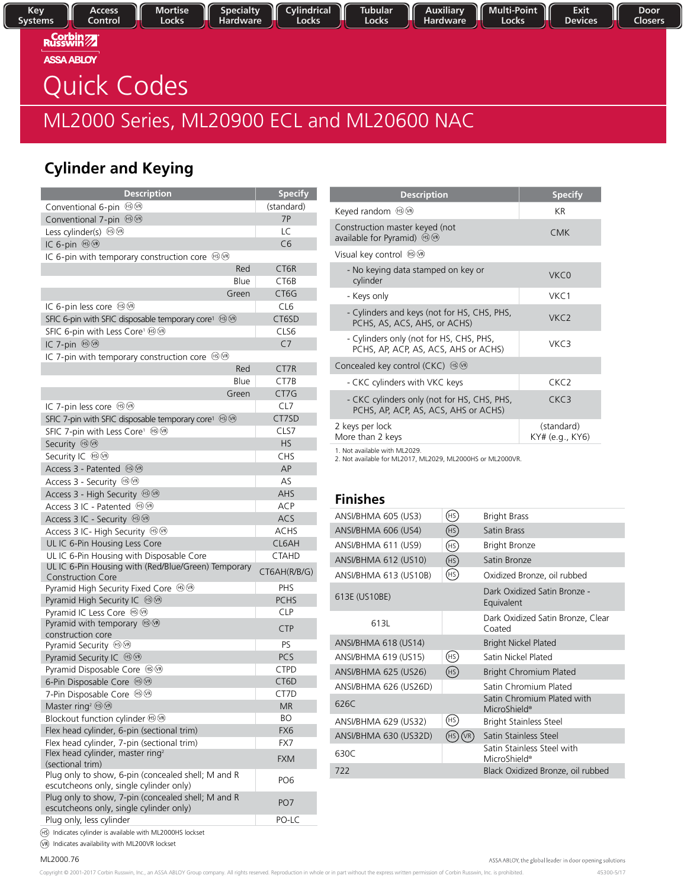Cylindrical **Tubular** Locks Locks

Auxiliary Hardware Multi-Point<br>Locks

Door Closers

**Russwin ASSA ABLOY** 

# Quick Codes

# ML2000 Series Series, ML20900 ECL and ML20600 NAC

**Specialty** 

Hardware

## **Cylinder and Keying**

| <b>Description</b>                                                                            | <b>Specify</b>    |
|-----------------------------------------------------------------------------------------------|-------------------|
| Conventional 6-pin ®®                                                                         | (standard)        |
| Conventional 7-pin ®®                                                                         | 7P                |
| Less cylinder(s) ®®                                                                           | LC                |
| IC 6-pin HO B                                                                                 | C6                |
| IC 6-pin with temporary construction core $\circledast$                                       |                   |
| Red                                                                                           | CT <sub>6R</sub>  |
| Blue                                                                                          | CT6B              |
| Green                                                                                         | CT <sub>6</sub> G |
| IC 6-pin less core <sup>6</sup>                                                               | CL <sub>6</sub>   |
| SFIC 6-pin with SFIC disposable temporary core <sup>1</sup> ® <sup>®</sup>                    | CT6SD             |
| SFIC 6-pin with Less Core <sup>1</sup> ® <sup>®</sup>                                         | CLS6              |
| IC 7-pin <sup>⊕</sup>                                                                         | C <sub>7</sub>    |
| IC 7-pin with temporary construction core $\circledR\circledR$                                |                   |
| Red                                                                                           | CT7R              |
| Blue                                                                                          | CT7B              |
| Green                                                                                         | CT7G              |
| IC 7-pin less core <sup>16</sup>                                                              | CL7               |
| SFIC 7-pin with SFIC disposable temporary core <sup>1</sup> ® <sup>®</sup>                    | CT7SD             |
| SFIC 7-pin with Less Core <sup>1</sup> ®®                                                     | CLS7              |
| Security ® <sup>®</sup>                                                                       | <b>HS</b>         |
| Security IC ®®                                                                                | <b>CHS</b>        |
| Access 3 - Patented ®®                                                                        | AP                |
| Access 3 - Security $\circledR$                                                               | AS                |
| Access 3 - High Security $\circledR\circledR$                                                 | AHS               |
| Access 3 IC - Patented <sup>6</sup>                                                           | <b>ACP</b>        |
| Access 3 IC - Security $\circledR\circledR$                                                   | ACS               |
| Access 3 IC- High Security $\circledast\circledast$                                           | <b>ACHS</b>       |
| UL IC 6-Pin Housing Less Core                                                                 | CL6AH             |
| UL IC 6-Pin Housing with Disposable Core                                                      | <b>CTAHD</b>      |
| UL IC 6-Pin Housing with (Red/Blue/Green) Temporary                                           | CT6AH(R/B/G)      |
| <b>Construction Core</b>                                                                      |                   |
| Pyramid High Security Fixed Core 80                                                           | <b>PHS</b>        |
| Pyramid High Security IC ®®                                                                   | <b>PCHS</b>       |
| Pyramid IC Less Core <sup>19</sup>                                                            | <b>CLP</b>        |
| Pyramid with temporary $\circledast\circledast$<br>construction core                          | <b>CTP</b>        |
| Pyramid Security $\circledcirc\circ$                                                          | PS                |
| Pyramid Security IC <sup>⊕</sup>                                                              | <b>PCS</b>        |
| Pyramid Disposable Core ®®                                                                    | <b>CTPD</b>       |
| 6-Pin Disposable Core <sup>1999</sup>                                                         | CT6D              |
| 7-Pin Disposable Core <sup>(1</sup>                                                           | CT7D              |
| Master ring <sup>2</sup> $\circledR$                                                          | <b>MR</b>         |
| Blockout function cylinder ®®                                                                 | <b>BO</b>         |
| Flex head cylinder, 6-pin (sectional trim)                                                    | FX6               |
| Flex head cylinder, 7-pin (sectional trim)                                                    | FX7               |
| Flex head cylinder, master ring <sup>2</sup>                                                  | <b>FXM</b>        |
| (sectional trim)<br>Plug only to show, 6-pin (concealed shell; M and R                        | PO <sub>6</sub>   |
| escutcheons only, single cylinder only)<br>Plug only to show, 7-pin (concealed shell; M and R |                   |
| escutcheons only, single cylinder only)                                                       | PO <sub>7</sub>   |
| Plug only, less cylinder                                                                      | PO-LC             |

| <b>Description</b>                                                                  | <b>Specify</b>                |
|-------------------------------------------------------------------------------------|-------------------------------|
| Keyed random <sup>ஞ</sup> <sup>ஞ</sup>                                              | KR                            |
| Construction master keyed (not<br>available for Pyramid) $\circledcirc\circ$        | <b>CMK</b>                    |
| Visual key control (†909                                                            |                               |
| - No keying data stamped on key or<br>cylinder                                      | VKC <sub>0</sub>              |
| - Keys only                                                                         | VKC1                          |
| - Cylinders and keys (not for HS, CHS, PHS,<br>PCHS, AS, ACS, AHS, or ACHS)         | VKC <sub>2</sub>              |
| - Cylinders only (not for HS, CHS, PHS,<br>PCHS, AP, ACP, AS, ACS, AHS or ACHS)     | VKC3                          |
| Concealed key control (CKC) $\circledcirc$                                          |                               |
| - CKC cylinders with VKC keys                                                       | CKC <sub>2</sub>              |
| - CKC cylinders only (not for HS, CHS, PHS,<br>PCHS, AP, ACP, AS, ACS, AHS or ACHS) | CKC3                          |
| 2 keys per lock<br>More than 2 keys                                                 | (standard)<br>KY# (e.g., KY6) |
|                                                                                     |                               |

1. Not available with ML2029.

2. Not available for ML2017, ML2029, ML2000HS or ML2000VR.

## **Finishes**

| ANSI/BHMA 605 (US3)   | (HS)        | <b>Bright Brass</b>                                    |
|-----------------------|-------------|--------------------------------------------------------|
| ANSI/BHMA 606 (US4)   | (HS)        | <b>Satin Brass</b>                                     |
| ANSI/BHMA 611 (US9)   | (HS)        | <b>Bright Bronze</b>                                   |
| ANSI/BHMA 612 (US10)  | (HS)        | Satin Bronze                                           |
| ANSI/BHMA 613 (US10B) | (HS)        | Oxidized Bronze, oil rubbed                            |
| 613E (US10BE)         |             | Dark Oxidized Satin Bronze -<br>Equivalent             |
| 613L                  |             | Dark Oxidized Satin Bronze, Clear<br>Coated            |
| ANSI/BHMA 618 (US14)  |             | <b>Bright Nickel Plated</b>                            |
| ANSI/BHMA 619 (US15)  | (HS)        | Satin Nickel Plated                                    |
| ANSI/BHMA 625 (US26)  | (HS)        | <b>Bright Chromium Plated</b>                          |
| ANSI/BHMA 626 (US26D) |             | Satin Chromium Plated                                  |
| 626C                  |             | Satin Chromium Plated with<br>MicroShield®             |
| ANSI/BHMA 629 (US32)  | (HS)        | <b>Bright Stainless Steel</b>                          |
| ANSI/BHMA 630 (US32D) | (VR)<br>HS: | Satin Stainless Steel                                  |
| 630C                  |             | Satin Stainless Steel with<br>MicroShield <sup>®</sup> |
| 722                   |             | Black Oxidized Bronze, oil rubbed                      |
|                       |             |                                                        |

Indicates cylinder is available with ML2000HS lockset

Indicates availability with ML200VR lockset

ML2000.76